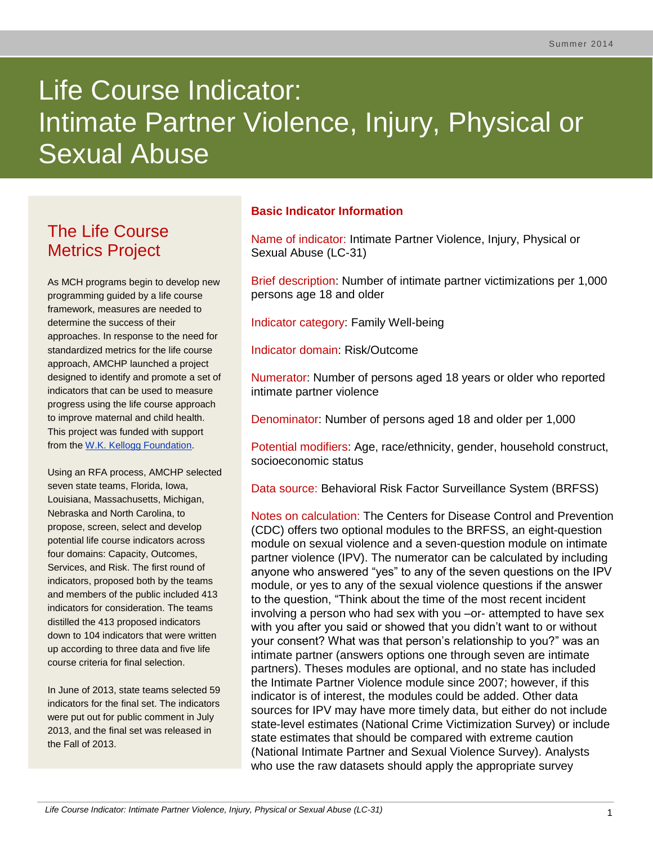# Life Course Indicator: Intimate Partner Violence, Injury, Physical or Sexual Abuse

# The Life Course Metrics Project

As MCH programs begin to develop new programming guided by a life course framework, measures are needed to determine the success of their approaches. In response to the need for standardized metrics for the life course approach, AMCHP launched a project designed to identify and promote a set of indicators that can be used to measure progress using the life course approach to improve maternal and child health. This project was funded with support from the [W.K. Kellogg Foundation.](http://www.wkkf.org/)

Using an RFA process, AMCHP selected seven state teams, Florida, Iowa, Louisiana, Massachusetts, Michigan, Nebraska and North Carolina, to propose, screen, select and develop potential life course indicators across four domains: Capacity, Outcomes, Services, and Risk. The first round of indicators, proposed both by the teams and members of the public included 413 indicators for consideration. The teams distilled the 413 proposed indicators down to 104 indicators that were written up according to three data and five life course criteria for final selection.

In June of 2013, state teams selected 59 indicators for the final set. The indicators were put out for public comment in July 2013, and the final set was released in the Fall of 2013.

# **Basic Indicator Information**

Name of indicator: Intimate Partner Violence, Injury, Physical or Sexual Abuse (LC-31)

Brief description: Number of intimate partner victimizations per 1,000 persons age 18 and older

Indicator category: Family Well-being

Indicator domain: Risk/Outcome

Numerator: Number of persons aged 18 years or older who reported intimate partner violence

Denominator: Number of persons aged 18 and older per 1,000

Potential modifiers: Age, race/ethnicity, gender, household construct, socioeconomic status

Data source: Behavioral Risk Factor Surveillance System (BRFSS)

Notes on calculation: The Centers for Disease Control and Prevention (CDC) offers two optional modules to the BRFSS, an eight-question module on sexual violence and a seven-question module on intimate partner violence (IPV). The numerator can be calculated by including anyone who answered "yes" to any of the seven questions on the IPV module, or yes to any of the sexual violence questions if the answer to the question, "Think about the time of the most recent incident involving a person who had sex with you –or- attempted to have sex with you after you said or showed that you didn't want to or without your consent? What was that person's relationship to you?" was an intimate partner (answers options one through seven are intimate partners). Theses modules are optional, and no state has included the Intimate Partner Violence module since 2007; however, if this indicator is of interest, the modules could be added. Other data sources for IPV may have more timely data, but either do not include state-level estimates (National Crime Victimization Survey) or include state estimates that should be compared with extreme caution (National Intimate Partner and Sexual Violence Survey). Analysts who use the raw datasets should apply the appropriate survey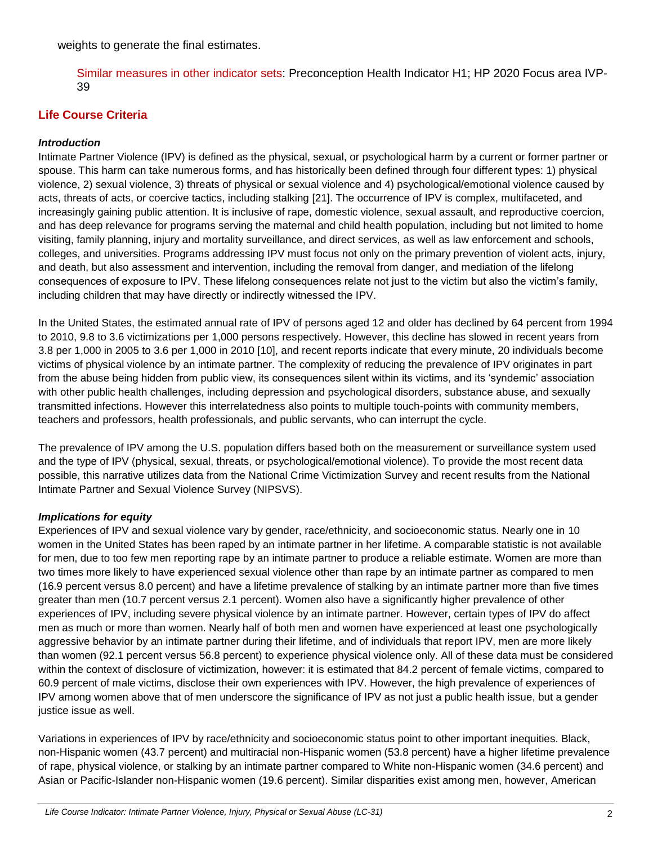weights to generate the final estimates.

Similar measures in other indicator sets: Preconception Health Indicator H1; HP 2020 Focus area IVP-39

# **Life Course Criteria**

#### *Introduction*

Intimate Partner Violence (IPV) is defined as the physical, sexual, or psychological harm by a current or former partner or spouse. This harm can take numerous forms, and has historically been defined through four different types: 1) physical violence, 2) sexual violence, 3) threats of physical or sexual violence and 4) psychological/emotional violence caused by acts, threats of acts, or coercive tactics, including stalking [21]. The occurrence of IPV is complex, multifaceted, and increasingly gaining public attention. It is inclusive of rape, domestic violence, sexual assault, and reproductive coercion, and has deep relevance for programs serving the maternal and child health population, including but not limited to home visiting, family planning, injury and mortality surveillance, and direct services, as well as law enforcement and schools, colleges, and universities. Programs addressing IPV must focus not only on the primary prevention of violent acts, injury, and death, but also assessment and intervention, including the removal from danger, and mediation of the lifelong consequences of exposure to IPV. These lifelong consequences relate not just to the victim but also the victim's family, including children that may have directly or indirectly witnessed the IPV.

In the United States, the estimated annual rate of IPV of persons aged 12 and older has declined by 64 percent from 1994 to 2010, 9.8 to 3.6 victimizations per 1,000 persons respectively. However, this decline has slowed in recent years from 3.8 per 1,000 in 2005 to 3.6 per 1,000 in 2010 [10], and recent reports indicate that every minute, 20 individuals become victims of physical violence by an intimate partner. The complexity of reducing the prevalence of IPV originates in part from the abuse being hidden from public view, its consequences silent within its victims, and its 'syndemic' association with other public health challenges, including depression and psychological disorders, substance abuse, and sexually transmitted infections. However this interrelatedness also points to multiple touch-points with community members, teachers and professors, health professionals, and public servants, who can interrupt the cycle.

The prevalence of IPV among the U.S. population differs based both on the measurement or surveillance system used and the type of IPV (physical, sexual, threats, or psychological/emotional violence). To provide the most recent data possible, this narrative utilizes data from the National Crime Victimization Survey and recent results from the National Intimate Partner and Sexual Violence Survey (NIPSVS).

#### *Implications for equity*

Experiences of IPV and sexual violence vary by gender, race/ethnicity, and socioeconomic status. Nearly one in 10 women in the United States has been raped by an intimate partner in her lifetime. A comparable statistic is not available for men, due to too few men reporting rape by an intimate partner to produce a reliable estimate. Women are more than two times more likely to have experienced sexual violence other than rape by an intimate partner as compared to men (16.9 percent versus 8.0 percent) and have a lifetime prevalence of stalking by an intimate partner more than five times greater than men (10.7 percent versus 2.1 percent). Women also have a significantly higher prevalence of other experiences of IPV, including severe physical violence by an intimate partner. However, certain types of IPV do affect men as much or more than women. Nearly half of both men and women have experienced at least one psychologically aggressive behavior by an intimate partner during their lifetime, and of individuals that report IPV, men are more likely than women (92.1 percent versus 56.8 percent) to experience physical violence only. All of these data must be considered within the context of disclosure of victimization, however: it is estimated that 84.2 percent of female victims, compared to 60.9 percent of male victims, disclose their own experiences with IPV. However, the high prevalence of experiences of IPV among women above that of men underscore the significance of IPV as not just a public health issue, but a gender justice issue as well.

Variations in experiences of IPV by race/ethnicity and socioeconomic status point to other important inequities. Black, non-Hispanic women (43.7 percent) and multiracial non-Hispanic women (53.8 percent) have a higher lifetime prevalence of rape, physical violence, or stalking by an intimate partner compared to White non-Hispanic women (34.6 percent) and Asian or Pacific-Islander non-Hispanic women (19.6 percent). Similar disparities exist among men, however, American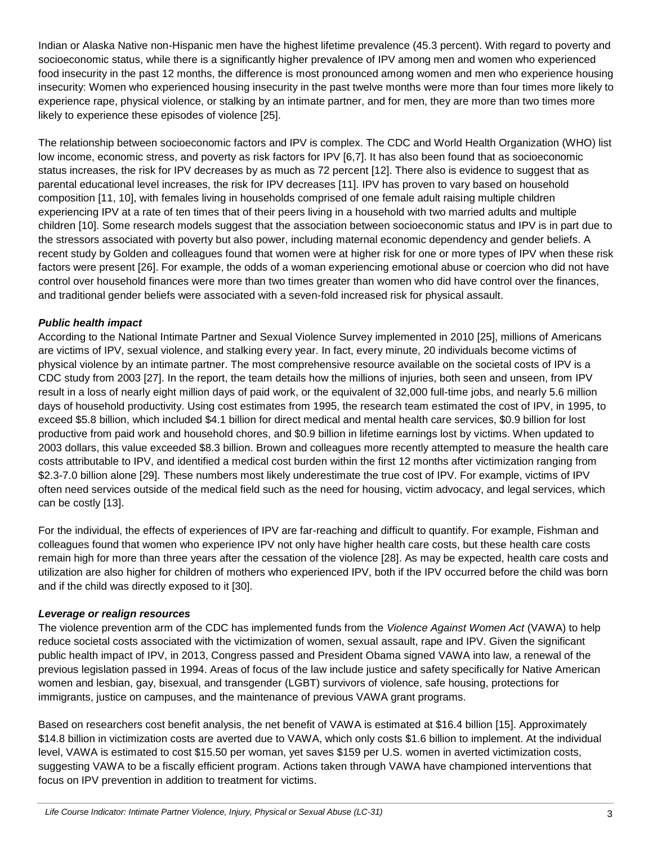Indian or Alaska Native non-Hispanic men have the highest lifetime prevalence (45.3 percent). With regard to poverty and socioeconomic status, while there is a significantly higher prevalence of IPV among men and women who experienced food insecurity in the past 12 months, the difference is most pronounced among women and men who experience housing insecurity: Women who experienced housing insecurity in the past twelve months were more than four times more likely to experience rape, physical violence, or stalking by an intimate partner, and for men, they are more than two times more likely to experience these episodes of violence [25].

The relationship between socioeconomic factors and IPV is complex. The CDC and World Health Organization (WHO) list low income, economic stress, and poverty as risk factors for IPV [6,7]. It has also been found that as socioeconomic status increases, the risk for IPV decreases by as much as 72 percent [12]. There also is evidence to suggest that as parental educational level increases, the risk for IPV decreases [11]. IPV has proven to vary based on household composition [11, 10], with females living in households comprised of one female adult raising multiple children experiencing IPV at a rate of ten times that of their peers living in a household with two married adults and multiple children [10]. Some research models suggest that the association between socioeconomic status and IPV is in part due to the stressors associated with poverty but also power, including maternal economic dependency and gender beliefs. A recent study by Golden and colleagues found that women were at higher risk for one or more types of IPV when these risk factors were present [26]. For example, the odds of a woman experiencing emotional abuse or coercion who did not have control over household finances were more than two times greater than women who did have control over the finances, and traditional gender beliefs were associated with a seven-fold increased risk for physical assault.

#### *Public health impact*

According to the National Intimate Partner and Sexual Violence Survey implemented in 2010 [25], millions of Americans are victims of IPV, sexual violence, and stalking every year. In fact, every minute, 20 individuals become victims of physical violence by an intimate partner. The most comprehensive resource available on the societal costs of IPV is a CDC study from 2003 [27]. In the report, the team details how the millions of injuries, both seen and unseen, from IPV result in a loss of nearly eight million days of paid work, or the equivalent of 32,000 full-time jobs, and nearly 5.6 million days of household productivity. Using cost estimates from 1995, the research team estimated the cost of IPV, in 1995, to exceed \$5.8 billion, which included \$4.1 billion for direct medical and mental health care services, \$0.9 billion for lost productive from paid work and household chores, and \$0.9 billion in lifetime earnings lost by victims. When updated to 2003 dollars, this value exceeded \$8.3 billion. Brown and colleagues more recently attempted to measure the health care costs attributable to IPV, and identified a medical cost burden within the first 12 months after victimization ranging from \$2.3-7.0 billion alone [29]. These numbers most likely underestimate the true cost of IPV. For example, victims of IPV often need services outside of the medical field such as the need for housing, victim advocacy, and legal services, which can be costly [13].

For the individual, the effects of experiences of IPV are far-reaching and difficult to quantify. For example, Fishman and colleagues found that women who experience IPV not only have higher health care costs, but these health care costs remain high for more than three years after the cessation of the violence [28]. As may be expected, health care costs and utilization are also higher for children of mothers who experienced IPV, both if the IPV occurred before the child was born and if the child was directly exposed to it [30].

#### *Leverage or realign resources*

The violence prevention arm of the CDC has implemented funds from the *Violence Against Women Act* (VAWA) to help reduce societal costs associated with the victimization of women, sexual assault, rape and IPV. Given the significant public health impact of IPV, in 2013, Congress passed and President Obama signed VAWA into law, a renewal of the previous legislation passed in 1994. Areas of focus of the law include justice and safety specifically for Native American women and lesbian, gay, bisexual, and transgender (LGBT) survivors of violence, safe housing, protections for immigrants, justice on campuses, and the maintenance of previous VAWA grant programs.

Based on researchers cost benefit analysis, the net benefit of VAWA is estimated at \$16.4 billion [15]. Approximately \$14.8 billion in victimization costs are averted due to VAWA, which only costs \$1.6 billion to implement. At the individual level, VAWA is estimated to cost \$15.50 per woman, yet saves \$159 per U.S. women in averted victimization costs, suggesting VAWA to be a fiscally efficient program. Actions taken through VAWA have championed interventions that focus on IPV prevention in addition to treatment for victims.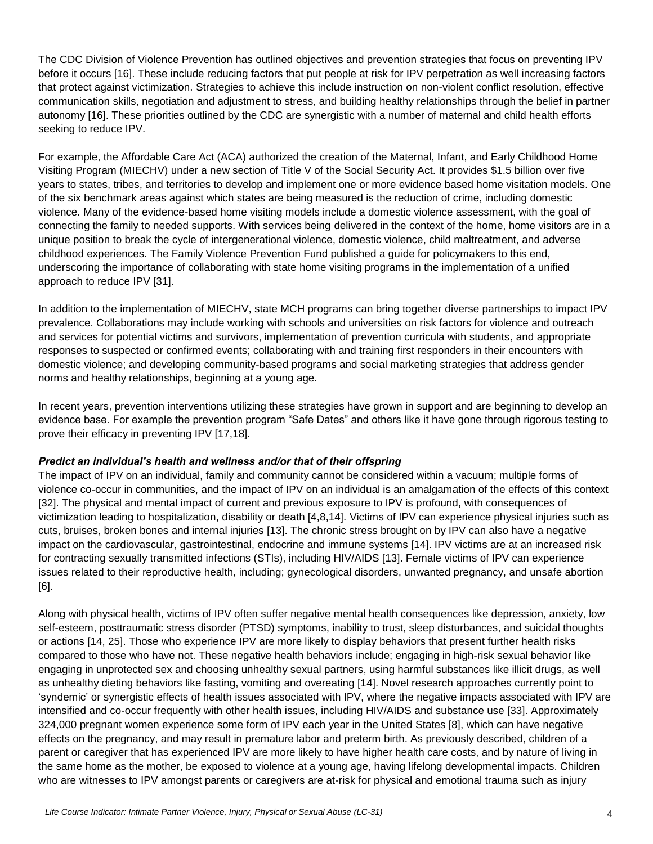The CDC Division of Violence Prevention has outlined objectives and prevention strategies that focus on preventing IPV before it occurs [16]. These include reducing factors that put people at risk for IPV perpetration as well increasing factors that protect against victimization. Strategies to achieve this include instruction on non-violent conflict resolution, effective communication skills, negotiation and adjustment to stress, and building healthy relationships through the belief in partner autonomy [16]. These priorities outlined by the CDC are synergistic with a number of maternal and child health efforts seeking to reduce IPV.

For example, the Affordable Care Act (ACA) authorized the creation of the Maternal, Infant, and Early Childhood Home Visiting Program (MIECHV) under a new section of Title V of the Social Security Act. It provides \$1.5 billion over five years to states, tribes, and territories to develop and implement one or more evidence based home visitation models. One of the six benchmark areas against which states are being measured is the reduction of crime, including domestic violence. Many of the evidence-based home visiting models include a domestic violence assessment, with the goal of connecting the family to needed supports. With services being delivered in the context of the home, home visitors are in a unique position to break the cycle of intergenerational violence, domestic violence, child maltreatment, and adverse childhood experiences. The Family Violence Prevention Fund published a guide for policymakers to this end, underscoring the importance of collaborating with state home visiting programs in the implementation of a unified approach to reduce IPV [31].

In addition to the implementation of MIECHV, state MCH programs can bring together diverse partnerships to impact IPV prevalence. Collaborations may include working with schools and universities on risk factors for violence and outreach and services for potential victims and survivors, implementation of prevention curricula with students, and appropriate responses to suspected or confirmed events; collaborating with and training first responders in their encounters with domestic violence; and developing community-based programs and social marketing strategies that address gender norms and healthy relationships, beginning at a young age.

In recent years, prevention interventions utilizing these strategies have grown in support and are beginning to develop an evidence base. For example the prevention program "Safe Dates" and others like it have gone through rigorous testing to prove their efficacy in preventing IPV [17,18].

#### *Predict an individual's health and wellness and/or that of their offspring*

The impact of IPV on an individual, family and community cannot be considered within a vacuum; multiple forms of violence co-occur in communities, and the impact of IPV on an individual is an amalgamation of the effects of this context [32]. The physical and mental impact of current and previous exposure to IPV is profound, with consequences of victimization leading to hospitalization, disability or death [4,8,14]. Victims of IPV can experience physical injuries such as cuts, bruises, broken bones and internal injuries [13]. The chronic stress brought on by IPV can also have a negative impact on the cardiovascular, gastrointestinal, endocrine and immune systems [14]. IPV victims are at an increased risk for contracting sexually transmitted infections (STIs), including HIV/AIDS [13]. Female victims of IPV can experience issues related to their reproductive health, including; gynecological disorders, unwanted pregnancy, and unsafe abortion [6].

Along with physical health, victims of IPV often suffer negative mental health consequences like depression, anxiety, low self-esteem, posttraumatic stress disorder (PTSD) symptoms, inability to trust, sleep disturbances, and suicidal thoughts or actions [14, 25]. Those who experience IPV are more likely to display behaviors that present further health risks compared to those who have not. These negative health behaviors include; engaging in high-risk sexual behavior like engaging in unprotected sex and choosing unhealthy sexual partners, using harmful substances like illicit drugs, as well as unhealthy dieting behaviors like fasting, vomiting and overeating [14]. Novel research approaches currently point to 'syndemic' or synergistic effects of health issues associated with IPV, where the negative impacts associated with IPV are intensified and co-occur frequently with other health issues, including HIV/AIDS and substance use [33]. Approximately 324,000 pregnant women experience some form of IPV each year in the United States [8], which can have negative effects on the pregnancy, and may result in premature labor and preterm birth. As previously described, children of a parent or caregiver that has experienced IPV are more likely to have higher health care costs, and by nature of living in the same home as the mother, be exposed to violence at a young age, having lifelong developmental impacts. Children who are witnesses to IPV amongst parents or caregivers are at-risk for physical and emotional trauma such as injury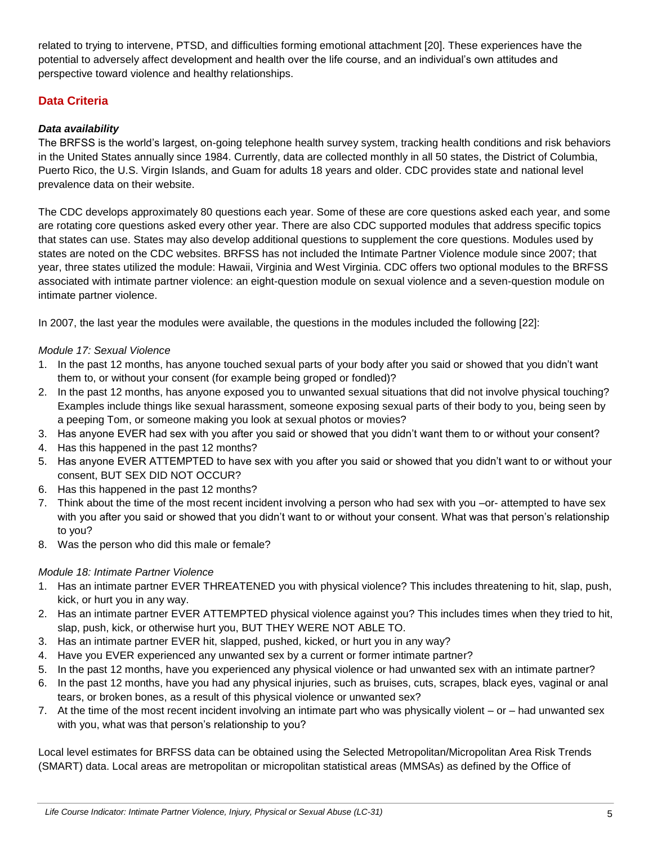related to trying to intervene, PTSD, and difficulties forming emotional attachment [20]. These experiences have the potential to adversely affect development and health over the life course, and an individual's own attitudes and perspective toward violence and healthy relationships.

# **Data Criteria**

## *Data availability*

The BRFSS is the world's largest, on-going telephone health survey system, tracking health conditions and risk behaviors in the United States annually since 1984. Currently, data are collected monthly in all 50 states, the District of Columbia, Puerto Rico, the U.S. Virgin Islands, and Guam for adults 18 years and older. CDC provides state and national level prevalence data on their website.

The CDC develops approximately 80 questions each year. Some of these are core questions asked each year, and some are rotating core questions asked every other year. There are also CDC supported modules that address specific topics that states can use. States may also develop additional questions to supplement the core questions. Modules used by states are noted on the CDC websites. BRFSS has not included the Intimate Partner Violence module since 2007; that year, three states utilized the module: Hawaii, Virginia and West Virginia. CDC offers two optional modules to the BRFSS associated with intimate partner violence: an eight-question module on sexual violence and a seven-question module on intimate partner violence.

In 2007, the last year the modules were available, the questions in the modules included the following [22]:

#### *Module 17: Sexual Violence*

- 1. In the past 12 months, has anyone touched sexual parts of your body after you said or showed that you didn't want them to, or without your consent (for example being groped or fondled)?
- 2. In the past 12 months, has anyone exposed you to unwanted sexual situations that did not involve physical touching? Examples include things like sexual harassment, someone exposing sexual parts of their body to you, being seen by a peeping Tom, or someone making you look at sexual photos or movies?
- 3. Has anyone EVER had sex with you after you said or showed that you didn't want them to or without your consent?
- 4. Has this happened in the past 12 months?
- 5. Has anyone EVER ATTEMPTED to have sex with you after you said or showed that you didn't want to or without your consent, BUT SEX DID NOT OCCUR?
- 6. Has this happened in the past 12 months?
- 7. Think about the time of the most recent incident involving a person who had sex with you –or- attempted to have sex with you after you said or showed that you didn't want to or without your consent. What was that person's relationship to you?
- 8. Was the person who did this male or female?

#### *Module 18: Intimate Partner Violence*

- 1. Has an intimate partner EVER THREATENED you with physical violence? This includes threatening to hit, slap, push, kick, or hurt you in any way.
- 2. Has an intimate partner EVER ATTEMPTED physical violence against you? This includes times when they tried to hit, slap, push, kick, or otherwise hurt you, BUT THEY WERE NOT ABLE TO.
- 3. Has an intimate partner EVER hit, slapped, pushed, kicked, or hurt you in any way?
- 4. Have you EVER experienced any unwanted sex by a current or former intimate partner?
- 5. In the past 12 months, have you experienced any physical violence or had unwanted sex with an intimate partner?
- 6. In the past 12 months, have you had any physical injuries, such as bruises, cuts, scrapes, black eyes, vaginal or anal tears, or broken bones, as a result of this physical violence or unwanted sex?
- 7. At the time of the most recent incident involving an intimate part who was physically violent or had unwanted sex with you, what was that person's relationship to you?

Local level estimates for BRFSS data can be obtained using the Selected Metropolitan/Micropolitan Area Risk Trends (SMART) data. Local areas are metropolitan or micropolitan statistical areas (MMSAs) as defined by the Office of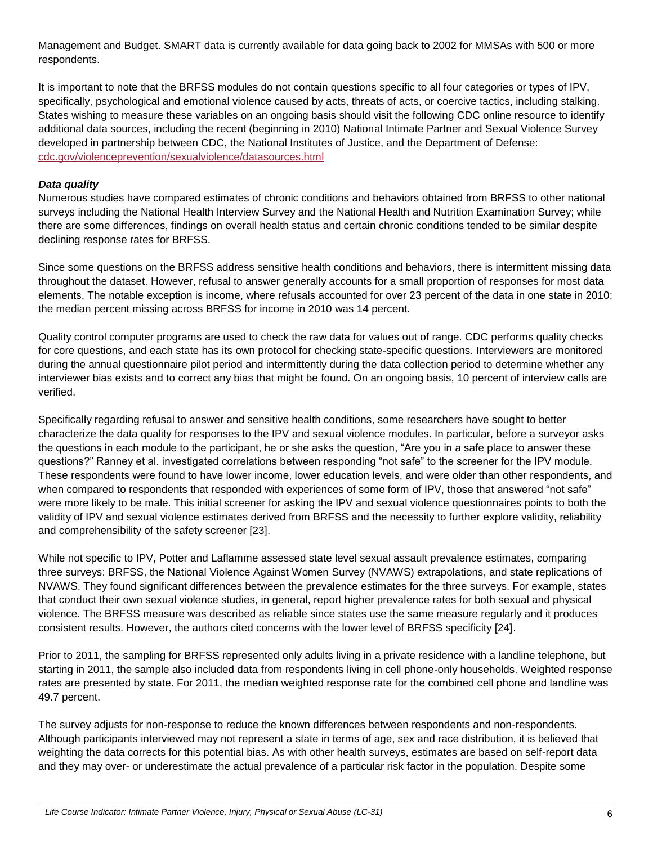Management and Budget. SMART data is currently available for data going back to 2002 for MMSAs with 500 or more respondents.

It is important to note that the BRFSS modules do not contain questions specific to all four categories or types of IPV, specifically, psychological and emotional violence caused by acts, threats of acts, or coercive tactics, including stalking. States wishing to measure these variables on an ongoing basis should visit the following CDC online resource to identify additional data sources, including the recent (beginning in 2010) National Intimate Partner and Sexual Violence Survey developed in partnership between CDC, the National Institutes of Justice, and the Department of Defense: [cdc.gov/violenceprevention/sexualviolence/datasources.html](http://www.cdc.gov/violenceprevention/sexualviolence/datasources.html)

#### *Data quality*

Numerous studies have compared estimates of chronic conditions and behaviors obtained from BRFSS to other national surveys including the National Health Interview Survey and the National Health and Nutrition Examination Survey; while there are some differences, findings on overall health status and certain chronic conditions tended to be similar despite declining response rates for BRFSS.

Since some questions on the BRFSS address sensitive health conditions and behaviors, there is intermittent missing data throughout the dataset. However, refusal to answer generally accounts for a small proportion of responses for most data elements. The notable exception is income, where refusals accounted for over 23 percent of the data in one state in 2010; the median percent missing across BRFSS for income in 2010 was 14 percent.

Quality control computer programs are used to check the raw data for values out of range. CDC performs quality checks for core questions, and each state has its own protocol for checking state-specific questions. Interviewers are monitored during the annual questionnaire pilot period and intermittently during the data collection period to determine whether any interviewer bias exists and to correct any bias that might be found. On an ongoing basis, 10 percent of interview calls are verified.

Specifically regarding refusal to answer and sensitive health conditions, some researchers have sought to better characterize the data quality for responses to the IPV and sexual violence modules. In particular, before a surveyor asks the questions in each module to the participant, he or she asks the question, "Are you in a safe place to answer these questions?" Ranney et al. investigated correlations between responding "not safe" to the screener for the IPV module. These respondents were found to have lower income, lower education levels, and were older than other respondents, and when compared to respondents that responded with experiences of some form of IPV, those that answered "not safe" were more likely to be male. This initial screener for asking the IPV and sexual violence questionnaires points to both the validity of IPV and sexual violence estimates derived from BRFSS and the necessity to further explore validity, reliability and comprehensibility of the safety screener [23].

While not specific to IPV, Potter and Laflamme assessed state level sexual assault prevalence estimates, comparing three surveys: BRFSS, the National Violence Against Women Survey (NVAWS) extrapolations, and state replications of NVAWS. They found significant differences between the prevalence estimates for the three surveys. For example, states that conduct their own sexual violence studies, in general, report higher prevalence rates for both sexual and physical violence. The BRFSS measure was described as reliable since states use the same measure regularly and it produces consistent results. However, the authors cited concerns with the lower level of BRFSS specificity [24].

Prior to 2011, the sampling for BRFSS represented only adults living in a private residence with a landline telephone, but starting in 2011, the sample also included data from respondents living in cell phone-only households. Weighted response rates are presented by state. For 2011, the median weighted response rate for the combined cell phone and landline was 49.7 percent.

The survey adjusts for non-response to reduce the known differences between respondents and non-respondents. Although participants interviewed may not represent a state in terms of age, sex and race distribution, it is believed that weighting the data corrects for this potential bias. As with other health surveys, estimates are based on self-report data and they may over- or underestimate the actual prevalence of a particular risk factor in the population. Despite some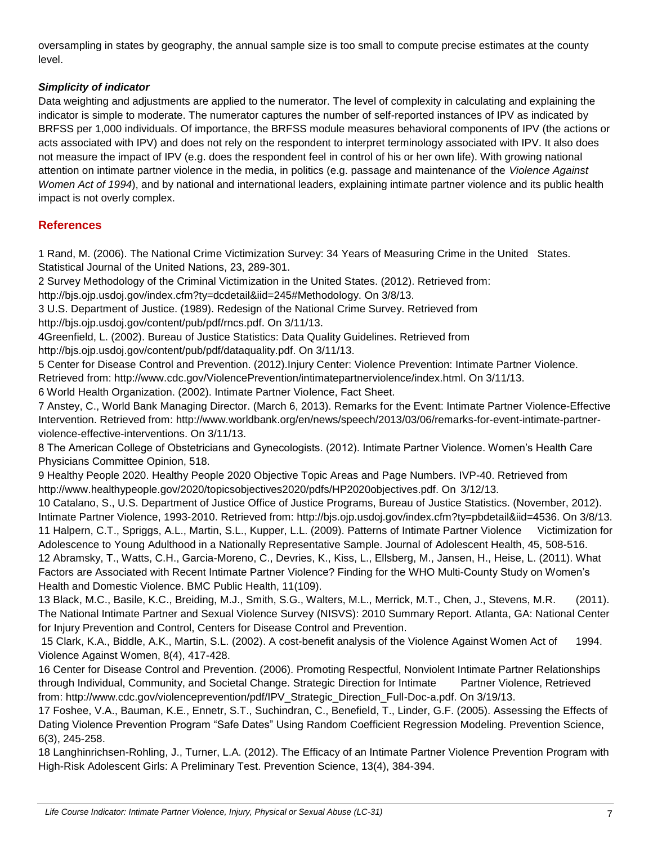oversampling in states by geography, the annual sample size is too small to compute precise estimates at the county level.

# *Simplicity of indicator*

Data weighting and adjustments are applied to the numerator. The level of complexity in calculating and explaining the indicator is simple to moderate. The numerator captures the number of self-reported instances of IPV as indicated by BRFSS per 1,000 individuals. Of importance, the BRFSS module measures behavioral components of IPV (the actions or acts associated with IPV) and does not rely on the respondent to interpret terminology associated with IPV. It also does not measure the impact of IPV (e.g. does the respondent feel in control of his or her own life). With growing national attention on intimate partner violence in the media, in politics (e.g. passage and maintenance of the *Violence Against Women Act of 1994*), and by national and international leaders, explaining intimate partner violence and its public health impact is not overly complex.

# **References**

1 Rand, M. (2006). The National Crime Victimization Survey: 34 Years of Measuring Crime in the United States. Statistical Journal of the United Nations, 23, 289-301.

2 Survey Methodology of the Criminal Victimization in the United States. (2012). Retrieved from:

http://bjs.ojp.usdoj.gov/index.cfm?ty=dcdetail&iid=245#Methodology. On 3/8/13.

3 U.S. Department of Justice. (1989). Redesign of the National Crime Survey. Retrieved from http://bjs.ojp.usdoj.gov/content/pub/pdf/rncs.pdf. On 3/11/13.

4Greenfield, L. (2002). Bureau of Justice Statistics: Data Quality Guidelines. Retrieved from

http://bjs.ojp.usdoj.gov/content/pub/pdf/dataquality.pdf. On 3/11/13.

5 Center for Disease Control and Prevention. (2012).Injury Center: Violence Prevention: Intimate Partner Violence. Retrieved from: http://www.cdc.gov/ViolencePrevention/intimatepartnerviolence/index.html. On 3/11/13.

6 World Health Organization. (2002). Intimate Partner Violence, Fact Sheet.

7 Anstey, C., World Bank Managing Director. (March 6, 2013). Remarks for the Event: Intimate Partner Violence-Effective Intervention. Retrieved from: http://www.worldbank.org/en/news/speech/2013/03/06/remarks-for-event-intimate-partnerviolence-effective-interventions. On 3/11/13.

8 The American College of Obstetricians and Gynecologists. (2012). Intimate Partner Violence. Women's Health Care Physicians Committee Opinion, 518.

9 Healthy People 2020. Healthy People 2020 Objective Topic Areas and Page Numbers. IVP-40. Retrieved from http://www.healthypeople.gov/2020/topicsobjectives2020/pdfs/HP2020objectives.pdf. On 3/12/13.

10 Catalano, S., U.S. Department of Justice Office of Justice Programs, Bureau of Justice Statistics. (November, 2012). Intimate Partner Violence, 1993-2010. Retrieved from: http://bjs.ojp.usdoj.gov/index.cfm?ty=pbdetail&iid=4536. On 3/8/13. 11 Halpern, C.T., Spriggs, A.L., Martin, S.L., Kupper, L.L. (2009). Patterns of Intimate Partner Violence Victimization for Adolescence to Young Adulthood in a Nationally Representative Sample. Journal of Adolescent Health, 45, 508-516. 12 Abramsky, T., Watts, C.H., Garcia-Moreno, C., Devries, K., Kiss, L., Ellsberg, M., Jansen, H., Heise, L. (2011). What Factors are Associated with Recent Intimate Partner Violence? Finding for the WHO Multi-County Study on Women's Health and Domestic Violence. BMC Public Health, 11(109).

13 Black, M.C., Basile, K.C., Breiding, M.J., Smith, S.G., Walters, M.L., Merrick, M.T., Chen, J., Stevens, M.R. (2011). The National Intimate Partner and Sexual Violence Survey (NISVS): 2010 Summary Report. Atlanta, GA: National Center for Injury Prevention and Control, Centers for Disease Control and Prevention.

15 Clark, K.A., Biddle, A.K., Martin, S.L. (2002). A cost-benefit analysis of the Violence Against Women Act of 1994. Violence Against Women, 8(4), 417-428.

16 Center for Disease Control and Prevention. (2006). Promoting Respectful, Nonviolent Intimate Partner Relationships through Individual, Community, and Societal Change. Strategic Direction for Intimate Partner Violence, Retrieved from: http://www.cdc.gov/violenceprevention/pdf/IPV\_Strategic\_Direction\_Full-Doc-a.pdf. On 3/19/13.

17 Foshee, V.A., Bauman, K.E., Ennetr, S.T., Suchindran, C., Benefield, T., Linder, G.F. (2005). Assessing the Effects of Dating Violence Prevention Program "Safe Dates" Using Random Coefficient Regression Modeling. Prevention Science, 6(3), 245-258.

18 Langhinrichsen-Rohling, J., Turner, L.A. (2012). The Efficacy of an Intimate Partner Violence Prevention Program with High-Risk Adolescent Girls: A Preliminary Test. Prevention Science, 13(4), 384-394.